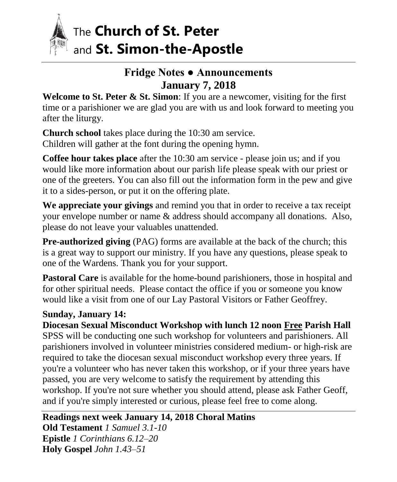

# The **Church of St. Peter**  and **St. Simon-the-Apostle**

## **Fridge Notes ● Announcements January 7, 2018**

**Welcome to St. Peter & St. Simon**: If you are a newcomer, visiting for the first time or a parishioner we are glad you are with us and look forward to meeting you after the liturgy.

**Church school** takes place during the 10:30 am service. Children will gather at the font during the opening hymn.

**Coffee hour takes place** after the 10:30 am service - please join us; and if you would like more information about our parish life please speak with our priest or one of the greeters. You can also fill out the information form in the pew and give it to a sides-person, or put it on the offering plate.

**We appreciate your givings** and remind you that in order to receive a tax receipt your envelope number or name & address should accompany all donations. Also, please do not leave your valuables unattended.

**Pre-authorized giving** (PAG) forms are available at the back of the church; this is a great way to support our ministry. If you have any questions, please speak to one of the Wardens. Thank you for your support.

**Pastoral Care** is available for the home-bound parishioners, those in hospital and for other spiritual needs. Please contact the office if you or someone you know would like a visit from one of our Lay Pastoral Visitors or Father Geoffrey.

#### **Sunday, January 14:**

**Diocesan Sexual Misconduct Workshop with lunch 12 noon Free Parish Hall** SPSS will be conducting one such workshop for volunteers and parishioners. All parishioners involved in volunteer ministries considered medium- or high-risk are required to take the diocesan sexual misconduct workshop every three years. If you're a volunteer who has never taken this workshop, or if your three years have passed, you are very welcome to satisfy the requirement by attending this workshop. If you're not sure whether you should attend, please ask Father Geoff, and if you're simply interested or curious, please feel free to come along.

**Readings next week January 14, 2018 Choral Matins**

**Old Testament** *1 Samuel 3.1-10* **Epistle** *1 Corinthians 6.12–20* **Holy Gospel** *John 1.43–51*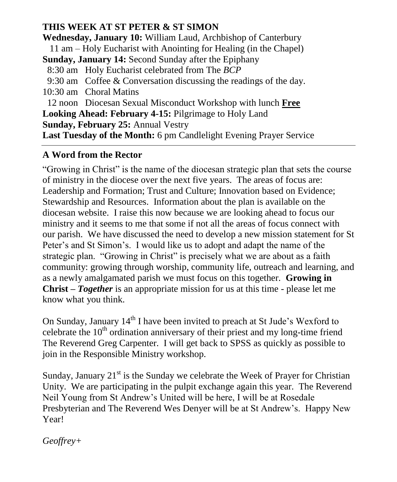#### **THIS WEEK AT ST PETER & ST SIMON**

**Wednesday, January 10:** William Laud, Archbishop of Canterbury 11 am – Holy Eucharist with Anointing for Healing (in the Chapel) **Sunday, January 14:** Second Sunday after the Epiphany 8:30 am Holy Eucharist celebrated from The *BCP* 9:30 am Coffee & Conversation discussing the readings of the day. 10:30 am Choral Matins 12 noon Diocesan Sexual Misconduct Workshop with lunch **Free Looking Ahead: February 4-15:** Pilgrimage to Holy Land **Sunday, February 25:** Annual Vestry **Last Tuesday of the Month:** 6 pm Candlelight Evening Prayer Service

#### **A Word from the Rector**

"Growing in Christ" is the name of the diocesan strategic plan that sets the course of ministry in the diocese over the next five years. The areas of focus are: Leadership and Formation; Trust and Culture; Innovation based on Evidence; Stewardship and Resources. Information about the plan is available on the diocesan website. I raise this now because we are looking ahead to focus our ministry and it seems to me that some if not all the areas of focus connect with our parish. We have discussed the need to develop a new mission statement for St Peter's and St Simon's. I would like us to adopt and adapt the name of the strategic plan. "Growing in Christ" is precisely what we are about as a faith community: growing through worship, community life, outreach and learning, and as a newly amalgamated parish we must focus on this together. **Growing in Christ –** *Together* is an appropriate mission for us at this time - please let me know what you think.

On Sunday, January 14<sup>th</sup> I have been invited to preach at St Jude's Wexford to celebrate the  $10<sup>th</sup>$  ordination anniversary of their priest and my long-time friend The Reverend Greg Carpenter. I will get back to SPSS as quickly as possible to join in the Responsible Ministry workshop.

Sunday, January  $21<sup>st</sup>$  is the Sunday we celebrate the Week of Prayer for Christian Unity. We are participating in the pulpit exchange again this year. The Reverend Neil Young from St Andrew's United will be here, I will be at Rosedale Presbyterian and The Reverend Wes Denyer will be at St Andrew's. Happy New Year!

*Geoffrey+*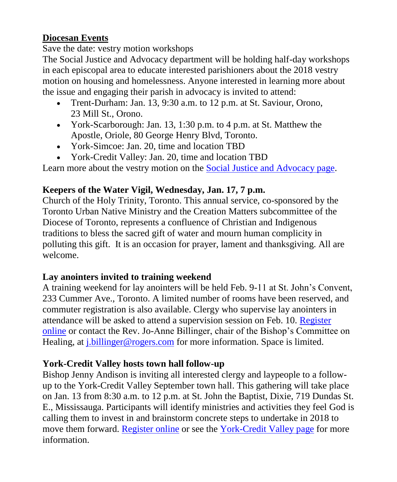#### **Diocesan Events**

Save the date: vestry motion workshops

The Social Justice and Advocacy department will be holding half-day workshops in each episcopal area to educate interested parishioners about the 2018 vestry motion on housing and homelessness. Anyone interested in learning more about the issue and engaging their parish in advocacy is invited to attend:

- Trent-Durham: Jan. 13, 9:30 a.m. to 12 p.m. at St. Saviour, Orono, 23 Mill St., Orono.
- York-Scarborough: Jan. 13, 1:30 p.m. to 4 p.m. at St. Matthew the Apostle, Oriole, 80 George Henry Blvd, Toronto.
- York-Simcoe: Jan. 20, time and location TBD
- York-Credit Valley: Jan. 20, time and location TBD

Learn more about the vestry motion on the [Social Justice and Advocacy page.](http://www.toronto.anglican.ca/parish-life/social-justice-and-advocacy/current-activities/)

### **Keepers of the Water Vigil, Wednesday, Jan. 17, 7 p.m.**

Church of the Holy Trinity, Toronto. This annual service, co-sponsored by the Toronto Urban Native Ministry and the Creation Matters subcommittee of the Diocese of Toronto, represents a confluence of Christian and Indigenous traditions to bless the sacred gift of water and mourn human complicity in polluting this gift. It is an occasion for prayer, lament and thanksgiving. All are welcome.

#### **Lay anointers invited to training weekend**

A training weekend for lay anointers will be held Feb. 9-11 at St. John's Convent, 233 Cummer Ave., Toronto. A limited number of rooms have been reserved, and commuter registration is also available. Clergy who supervise lay anointers in attendance will be asked to attend a supervision session on Feb. 10. [Register](https://events.r20.constantcontact.com/register/eventReg?oeidk=a07eeojytsndbbb9b86&oseq=&c=&ch=)  [online](https://events.r20.constantcontact.com/register/eventReg?oeidk=a07eeojytsndbbb9b86&oseq=&c=&ch=) or contact the Rev. Jo-Anne Billinger, chair of the Bishop's Committee on Healing, at *j.billinger@rogers.com* for more information. Space is limited.

### **York-Credit Valley hosts town hall follow-up**

Bishop Jenny Andison is inviting all interested clergy and laypeople to a followup to the York-Credit Valley September town hall. This gathering will take place on Jan. 13 from 8:30 a.m. to 12 p.m. at St. John the Baptist, Dixie, 719 Dundas St. E., Mississauga. Participants will identify ministries and activities they feel God is calling them to invest in and brainstorm concrete steps to undertake in 2018 to move them forward. [Register online](http://events.r20.constantcontact.com/register/event?oeidk=a07eeroa57c49368fb8&llr=zulsehqab) or see the [York-Credit Valley page](https://www.toronto.anglican.ca/about-the-diocese/area-bishops/york-credit-valley-2/ycv_events/) for more information.